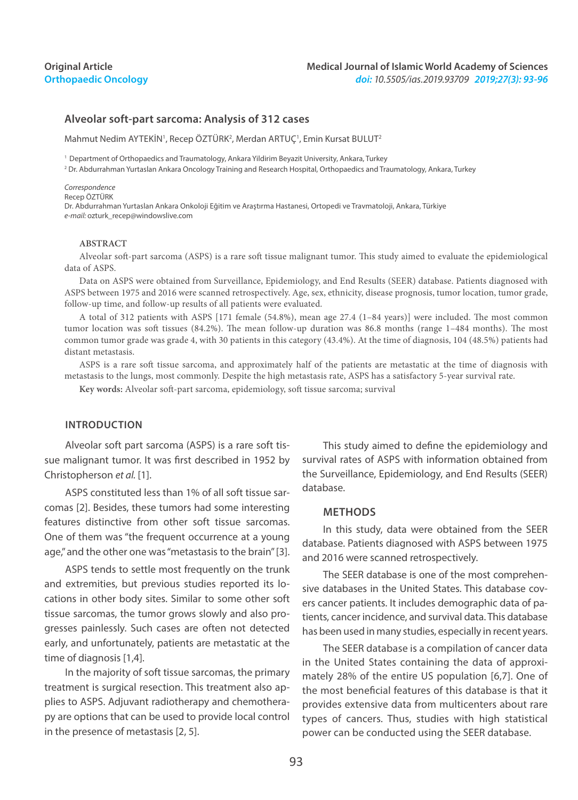### **Original Article Orthopaedic Oncology**

### **Alveolar soft-part sarcoma: Analysis of 312 cases**

Mahmut Nedim AYTEKİN', Recep ÖZTÜRK<sup>2</sup>, Merdan ARTUÇ', Emin Kursat BULUT<sup>2</sup>

<sup>1</sup> Department of Orthopaedics and Traumatology, Ankara Yildirim Beyazit University, Ankara, Turkey

2 Dr. Abdurrahman Yurtaslan Ankara Oncology Training and Research Hospital, Orthopaedics and Traumatology, Ankara, Turkey

#### *Correspondence*

Recep ÖZTÜRK

Dr. Abdurrahman Yurtaslan Ankara Onkoloji Eğitim ve Araştırma Hastanesi, Ortopedi ve Travmatoloji, Ankara, Türkiye *e-mail:* ozturk\_recep@windowslive.com

### **ABSTRACT**

Alveolar soft-part sarcoma (ASPS) is a rare soft tissue malignant tumor. This study aimed to evaluate the epidemiological data of ASPS.

Data on ASPS were obtained from Surveillance, Epidemiology, and End Results (SEER) database. Patients diagnosed with ASPS between 1975 and 2016 were scanned retrospectively. Age, sex, ethnicity, disease prognosis, tumor location, tumor grade, follow-up time, and follow-up results of all patients were evaluated.

A total of 312 patients with ASPS [171 female (54.8%), mean age 27.4 (1–84 years)] were included. The most common tumor location was soft tissues (84.2%). The mean follow-up duration was 86.8 months (range 1–484 months). The most common tumor grade was grade 4, with 30 patients in this category (43.4%). At the time of diagnosis, 104 (48.5%) patients had distant metastasis.

ASPS is a rare soft tissue sarcoma, and approximately half of the patients are metastatic at the time of diagnosis with metastasis to the lungs, most commonly. Despite the high metastasis rate, ASPS has a satisfactory 5-year survival rate.

**Key words:** Alveolar soft-part sarcoma, epidemiology, soft tissue sarcoma; survival

### **INTRODUCTION**

Alveolar soft part sarcoma (ASPS) is a rare soft tissue malignant tumor. It was first described in 1952 by Christopherson *et al.* [1].

ASPS constituted less than 1% of all soft tissue sarcomas [2]. Besides, these tumors had some interesting features distinctive from other soft tissue sarcomas. One of them was "the frequent occurrence at a young age," and the other one was "metastasis to the brain" [3].

ASPS tends to settle most frequently on the trunk and extremities, but previous studies reported its locations in other body sites. Similar to some other soft tissue sarcomas, the tumor grows slowly and also progresses painlessly. Such cases are often not detected early, and unfortunately, patients are metastatic at the time of diagnosis [1,4].

In the majority of soft tissue sarcomas, the primary treatment is surgical resection. This treatment also applies to ASPS. Adjuvant radiotherapy and chemotherapy are options that can be used to provide local control in the presence of metastasis [2, 5].

This study aimed to define the epidemiology and survival rates of ASPS with information obtained from the Surveillance, Epidemiology, and End Results (SEER) database.

#### **Methods**

In this study, data were obtained from the SEER database. Patients diagnosed with ASPS between 1975 and 2016 were scanned retrospectively.

The SEER database is one of the most comprehensive databases in the United States. This database covers cancer patients. It includes demographic data of patients, cancer incidence, and survival data. This database has been used in many studies, especially in recent years.

The SEER database is a compilation of cancer data in the United States containing the data of approximately 28% of the entire US population [6,7]. One of the most beneficial features of this database is that it provides extensive data from multicenters about rare types of cancers. Thus, studies with high statistical power can be conducted using the SEER database.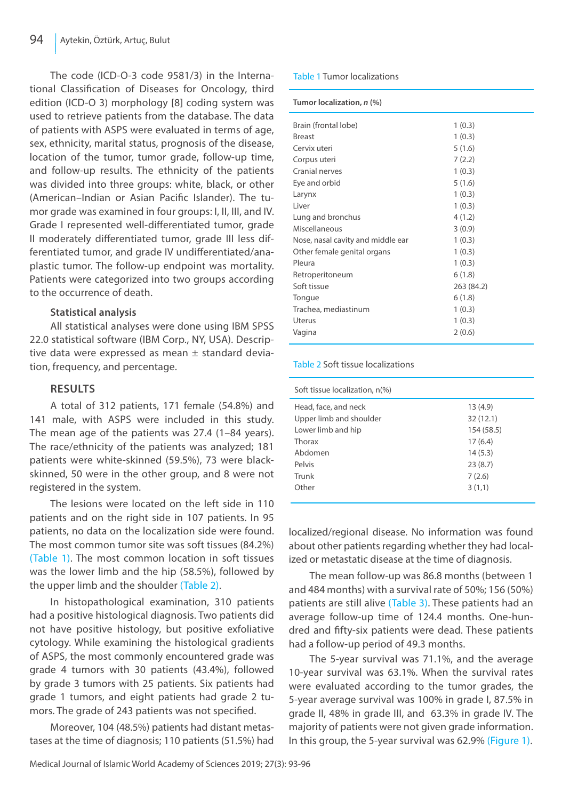The code (ICD-O-3 code 9581/3) in the International Classification of Diseases for Oncology, third edition (ICD-O 3) morphology [8] coding system was used to retrieve patients from the database. The data of patients with ASPS were evaluated in terms of age, sex, ethnicity, marital status, prognosis of the disease, location of the tumor, tumor grade, follow-up time, and follow-up results. The ethnicity of the patients was divided into three groups: white, black, or other (American–Indian or Asian Pacific Islander). The tumor grade was examined in four groups: I, II, III, and IV. Grade I represented well-differentiated tumor, grade II moderately differentiated tumor, grade III less differentiated tumor, and grade IV undifferentiated/anaplastic tumor. The follow-up endpoint was mortality. Patients were categorized into two groups according to the occurrence of death.

# **Statistical analysis**

All statistical analyses were done using IBM SPSS 22.0 statistical software (IBM Corp., NY, USA). Descriptive data were expressed as mean ± standard deviation, frequency, and percentage.

# **Results**

A total of 312 patients, 171 female (54.8%) and 141 male, with ASPS were included in this study. The mean age of the patients was 27.4 (1–84 years). The race/ethnicity of the patients was analyzed; 181 patients were white-skinned (59.5%), 73 were blackskinned, 50 were in the other group, and 8 were not registered in the system.

The lesions were located on the left side in 110 patients and on the right side in 107 patients. In 95 patients, no data on the localization side were found. The most common tumor site was soft tissues (84.2%) (Table 1). The most common location in soft tissues was the lower limb and the hip (58.5%), followed by the upper limb and the shoulder (Table 2).

In histopathological examination, 310 patients had a positive histological diagnosis. Two patients did not have positive histology, but positive exfoliative cytology. While examining the histological gradients of ASPS, the most commonly encountered grade was grade 4 tumors with 30 patients (43.4%), followed by grade 3 tumors with 25 patients. Six patients had grade 1 tumors, and eight patients had grade 2 tumors. The grade of 243 patients was not specified.

Moreover, 104 (48.5%) patients had distant metastases at the time of diagnosis; 110 patients (51.5%) had

## Table 1 Tumor localizations

#### **Tumor localization,** *n* **(%)**

| Brain (frontal lobe)              | 1(0.3)     |
|-----------------------------------|------------|
| <b>Breast</b>                     | 1(0.3)     |
| Cervix uteri                      | 5(1.6)     |
| Corpus uteri                      | 7(2.2)     |
| Cranial nerves                    | 1(0.3)     |
| Eye and orbid                     | 5(1.6)     |
| Larynx                            | 1(0.3)     |
| Liver                             | 1(0.3)     |
| Lung and bronchus                 | 4(1.2)     |
| Miscellaneous                     | 3(0.9)     |
| Nose, nasal cavity and middle ear | 1(0.3)     |
| Other female genital organs       | 1(0.3)     |
| Pleura                            | 1(0.3)     |
| Retroperitoneum                   | 6(1.8)     |
| Soft tissue                       | 263 (84.2) |
| Tongue                            | 6(1.8)     |
| Trachea, mediastinum              | 1(0.3)     |
| Uterus                            | 1(0.3)     |
| Vagina                            | 2(0.6)     |
|                                   |            |

### Table 2 Soft tissue localizations

| Soft tissue localization, n(%) |            |
|--------------------------------|------------|
| Head, face, and neck           | 13(4.9)    |
| Upper limb and shoulder        | 32(12.1)   |
| Lower limb and hip             | 154 (58.5) |
| Thorax                         | 17(6.4)    |
| Abdomen                        | 14(5.3)    |
| Pelvis                         | 23(8.7)    |
| Trunk                          | 7(2.6)     |
| Other                          | 3(1,1)     |
|                                |            |

localized/regional disease. No information was found about other patients regarding whether they had localized or metastatic disease at the time of diagnosis.

The mean follow-up was 86.8 months (between 1 and 484 months) with a survival rate of 50%; 156 (50%) patients are still alive (Table 3). These patients had an average follow-up time of 124.4 months. One-hundred and fifty-six patients were dead. These patients had a follow-up period of 49.3 months.

The 5-year survival was 71.1%, and the average 10-year survival was 63.1%. When the survival rates were evaluated according to the tumor grades, the 5-year average survival was 100% in grade I, 87.5% in grade II, 48% in grade III, and 63.3% in grade IV. The majority of patients were not given grade information. In this group, the 5-year survival was 62.9% (Figure 1).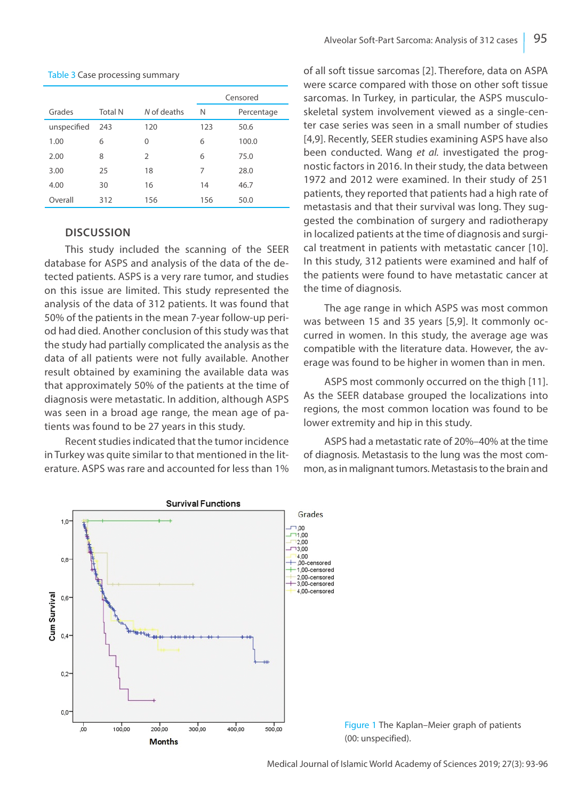#### Table 3 Case processing summary

|             |                |                | Censored |            |  |
|-------------|----------------|----------------|----------|------------|--|
| Grades      | <b>Total N</b> | N of deaths    | N        | Percentage |  |
| unspecified | 243            | 120            | 123      | 50.6       |  |
| 1.00        | 6              | 0              | 6        | 100.0      |  |
| 2.00        | 8              | $\overline{2}$ | 6        | 75.0       |  |
| 3.00        | 25             | 18             | 7        | 28.0       |  |
| 4.00        | 30             | 16             | 14       | 46.7       |  |
| Overall     | 312            | 156            | 156      | 50.0       |  |

## **Discussion**

This study included the scanning of the SEER database for ASPS and analysis of the data of the detected patients. ASPS is a very rare tumor, and studies on this issue are limited. This study represented the analysis of the data of 312 patients. It was found that 50% of the patients in the mean 7-year follow-up period had died. Another conclusion of this study was that the study had partially complicated the analysis as the data of all patients were not fully available. Another result obtained by examining the available data was that approximately 50% of the patients at the time of diagnosis were metastatic. In addition, although ASPS was seen in a broad age range, the mean age of patients was found to be 27 years in this study.

Recent studies indicated that the tumor incidence in Turkey was quite similar to that mentioned in the literature. ASPS was rare and accounted for less than 1% of all soft tissue sarcomas [2]. Therefore, data on ASPA were scarce compared with those on other soft tissue sarcomas. In Turkey, in particular, the ASPS musculoskeletal system involvement viewed as a single-center case series was seen in a small number of studies [4,9]. Recently, SEER studies examining ASPS have also been conducted. Wang *et al.* investigated the prognostic factors in 2016. In their study, the data between 1972 and 2012 were examined. In their study of 251 patients, they reported that patients had a high rate of metastasis and that their survival was long. They suggested the combination of surgery and radiotherapy in localized patients at the time of diagnosis and surgical treatment in patients with metastatic cancer [10]. In this study, 312 patients were examined and half of the patients were found to have metastatic cancer at the time of diagnosis.

The age range in which ASPS was most common was between 15 and 35 years [5,9]. It commonly occurred in women. In this study, the average age was compatible with the literature data. However, the average was found to be higher in women than in men.

ASPS most commonly occurred on the thigh [11]. As the SEER database grouped the localizations into regions, the most common location was found to be lower extremity and hip in this study.

ASPS had a metastatic rate of 20%–40% at the time of diagnosis. Metastasis to the lung was the most common, as in malignant tumors. Metastasis to the brain and



Figure 1 The Kaplan–Meier graph of patients (00: unspecified).